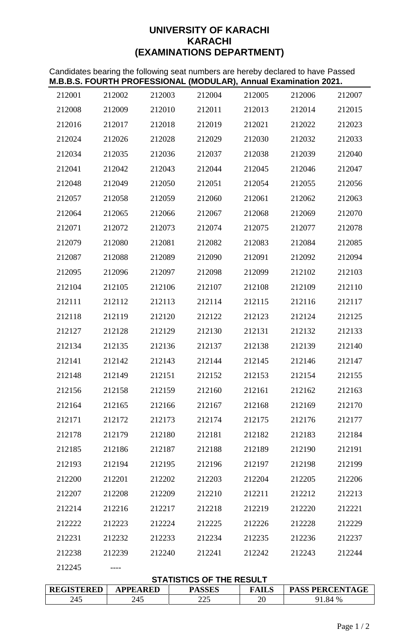# **UNIVERSITY OF KARACHI KARACHI (EXAMINATIONS DEPARTMENT)**

Candidates bearing the following seat numbers are hereby declared to have Passed **M.B.B.S. FOURTH PROFESSIONAL (MODULAR), Annual Examination 2021.**

| 245<br>245                                                                                                                         |                  |                  | 225              | 20               |                  | 91.84 %          |  |
|------------------------------------------------------------------------------------------------------------------------------------|------------------|------------------|------------------|------------------|------------------|------------------|--|
| <b>STATISTICS OF THE RESULT</b><br><b>REGISTERED</b><br><b>APPEARED</b><br><b>PASSES</b><br><b>PASS PERCENTAGE</b><br><b>FAILS</b> |                  |                  |                  |                  |                  |                  |  |
| 212245                                                                                                                             |                  |                  |                  |                  |                  |                  |  |
| 212238                                                                                                                             | 212239           | 212240           | 212241           | 212242           | 212243           | 212244           |  |
| 212231                                                                                                                             | 212232           | 212233           | 212234           | 212235           | 212236           | 212237           |  |
| 212222                                                                                                                             | 212223           | 212224           | 212225           | 212226           | 212228           | 212229           |  |
| 212214                                                                                                                             | 212216           | 212217           | 212218           | 212219           | 212220           | 212221           |  |
| 212207                                                                                                                             | 212208           | 212209           | 212210           | 212211           | 212212           | 212213           |  |
| 212200                                                                                                                             | 212201           | 212202           | 212203           | 212204           | 212205           | 212206           |  |
| 212193                                                                                                                             | 212194           | 212195           | 212196           | 212197           | 212198           | 212199           |  |
| 212185                                                                                                                             | 212186           | 212187           | 212188           | 212189           | 212190           | 212191           |  |
| 212178                                                                                                                             | 212179           | 212180           | 212181           | 212182           | 212183           | 212184           |  |
| 212171                                                                                                                             | 212172           | 212173           | 212174           | 212175           | 212176           | 212177           |  |
| 212164                                                                                                                             | 212165           | 212166           | 212167           | 212168           | 212169           | 212170           |  |
| 212156                                                                                                                             | 212158           | 212159           | 212160           | 212161           | 212162           | 212163           |  |
| 212148                                                                                                                             | 212149           | 212151           | 212152           | 212153           | 212154           | 212155           |  |
| 212141                                                                                                                             | 212142           | 212143           | 212144           | 212145           | 212146           | 212147           |  |
| 212134                                                                                                                             | 212135           | 212136           | 212137           | 212138           | 212139           | 212140           |  |
| 212127                                                                                                                             | 212128           | 212129           | 212130           | 212131           | 212132           | 212133           |  |
| 212118                                                                                                                             | 212119           | 212120           | 212122           | 212123           | 212124           | 212125           |  |
| 212111                                                                                                                             | 212112           | 212113           | 212114           | 212115           | 212116           | 212117           |  |
| 212104                                                                                                                             | 212105           | 212106           | 212107           | 212108           | 212109           | 212110           |  |
|                                                                                                                                    |                  |                  |                  |                  |                  |                  |  |
| 212095                                                                                                                             | 212096           | 212097           | 212098           | 212099           | 212102           | 212103           |  |
| 212087                                                                                                                             | 212088           | 212089           | 212090           | 212091           | 212092           | 212094           |  |
| 212079                                                                                                                             | 212080           | 212073<br>212081 | 212082           | 212075<br>212083 | 212084           | 212078<br>212085 |  |
| 212064<br>212071                                                                                                                   | 212065<br>212072 | 212066           | 212067<br>212074 | 212068           | 212069<br>212077 | 212070           |  |
| 212057                                                                                                                             |                  |                  |                  | 212061           |                  | 212063           |  |
|                                                                                                                                    | 212058           | 212059           | 212060           |                  | 212062           |                  |  |
| 212048                                                                                                                             | 212049           | 212050           | 212051           | 212054           | 212055           | 212056           |  |
| 212034<br>212041                                                                                                                   | 212042           | 212043           | 212044           | 212045           | 212046           | 212040<br>212047 |  |
|                                                                                                                                    | 212035           | 212036           | 212037           | 212038           | 212039           |                  |  |
| 212024                                                                                                                             | 212026           | 212028           | 212029           | 212030           | 212032           | 212033           |  |
| 212016                                                                                                                             | 212017           | 212018           | 212019           | 212021           | 212022           | 212023           |  |
| 212008                                                                                                                             | 212009           | 212010           | 212011           | 212013           | 212014           | 212015           |  |
| 212001                                                                                                                             | 212002           | 212003           | 212004           | 212005           | 212006           | 212007           |  |